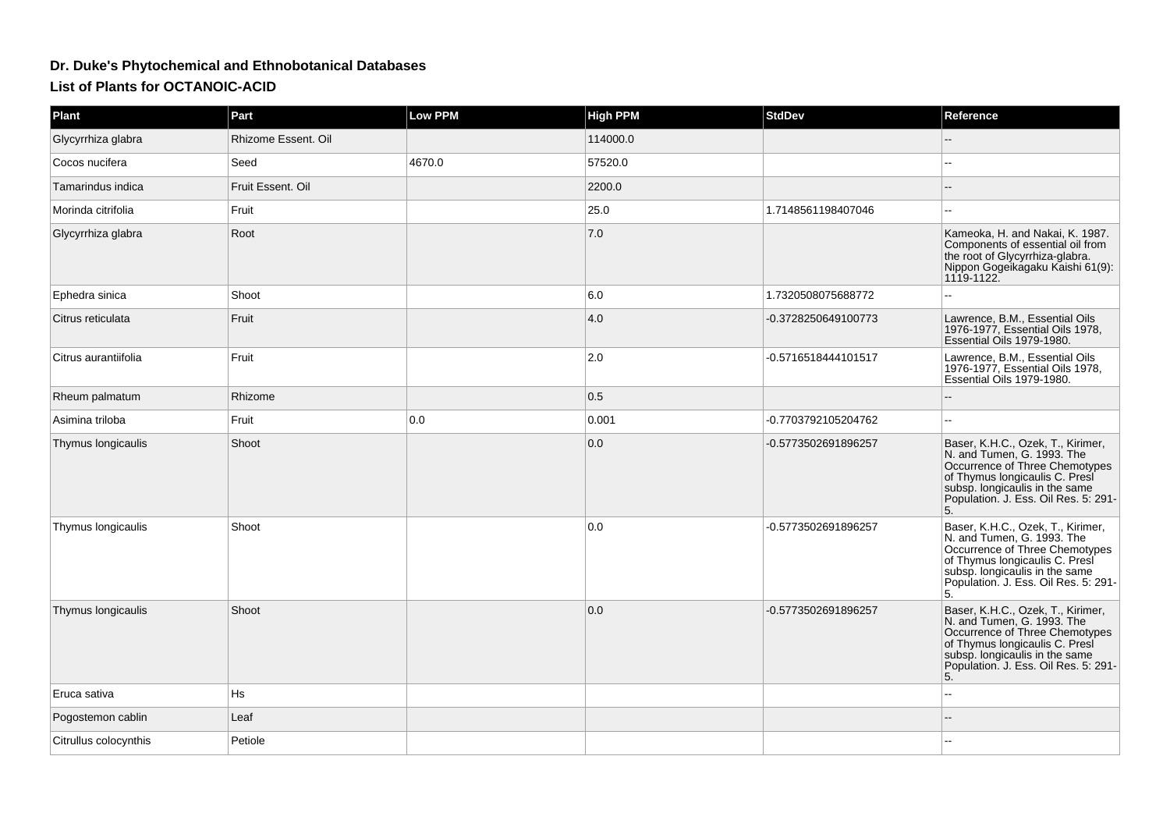## **Dr. Duke's Phytochemical and Ethnobotanical DatabasesList of Plants for OCTANOIC-ACID**

| <b>Plant</b>          | Part                | <b>Low PPM</b> | <b>High PPM</b> | <b>StdDev</b>       | Reference                                                                                                                                                                                                           |
|-----------------------|---------------------|----------------|-----------------|---------------------|---------------------------------------------------------------------------------------------------------------------------------------------------------------------------------------------------------------------|
| Glycyrrhiza glabra    | Rhizome Essent. Oil |                | 114000.0        |                     |                                                                                                                                                                                                                     |
| Cocos nucifera        | Seed                | 4670.0         | 57520.0         |                     |                                                                                                                                                                                                                     |
| Tamarindus indica     | Fruit Essent. Oil   |                | 2200.0          |                     |                                                                                                                                                                                                                     |
| Morinda citrifolia    | Fruit               |                | 25.0            | 1.7148561198407046  |                                                                                                                                                                                                                     |
| Glycyrrhiza glabra    | Root                |                | 7.0             |                     | Kameoka, H. and Nakai, K. 1987.<br>Components of essential oil from<br>the root of Glycyrrhiza-glabra.<br>Nippon Gogeikagaku Kaishi 61(9):<br>1119-1122.                                                            |
| Ephedra sinica        | Shoot               |                | 6.0             | 1.7320508075688772  |                                                                                                                                                                                                                     |
| Citrus reticulata     | Fruit               |                | 4.0             | -0.3728250649100773 | Lawrence, B.M., Essential Oils<br>1976-1977, Essential Oils 1978,<br>Essential Oils 1979-1980.                                                                                                                      |
| Citrus aurantiifolia  | Fruit               |                | 2.0             | -0.5716518444101517 | Lawrence, B.M., Essential Oils<br>1976-1977, Essential Oils 1978,<br>Essential Oils 1979-1980.                                                                                                                      |
| Rheum palmatum        | Rhizome             |                | 0.5             |                     |                                                                                                                                                                                                                     |
| Asimina triloba       | Fruit               | 0.0            | 0.001           | -0.7703792105204762 |                                                                                                                                                                                                                     |
| Thymus longicaulis    | Shoot               |                | 0.0             | -0.5773502691896257 | Baser, K.H.C., Ozek, T., Kirimer,<br>N. and Tumen, G. 1993. The<br>Occurrence of Three Chemotypes<br>of Thymus longicaulis C. Presi<br>subsp. longicaulis in the same<br>Population. J. Ess. Oil Res. 5: 291-<br>5. |
| Thymus longicaulis    | Shoot               |                | 0.0             | -0.5773502691896257 | Baser, K.H.C., Ozek, T., Kirimer,<br>N. and Tumen, G. 1993. The<br>Occurrence of Three Chemotypes<br>of Thymus longicaulis C. Presi<br>subsp. longicaulis in the same<br>Population. J. Ess. Oil Res. 5: 291-<br>5. |
| Thymus longicaulis    | Shoot               |                | 0.0             | -0.5773502691896257 | Baser, K.H.C., Ozek, T., Kirimer,<br>N. and Tumen, G. 1993. The<br>Occurrence of Three Chemotypes<br>of Thymus longicaulis C. Presi<br>subsp. longicaulis in the same<br>Population. J. Ess. Oil Res. 5: 291-<br>5. |
| Eruca sativa          | Hs                  |                |                 |                     |                                                                                                                                                                                                                     |
| Pogostemon cablin     | Leaf                |                |                 |                     |                                                                                                                                                                                                                     |
| Citrullus colocynthis | Petiole             |                |                 |                     |                                                                                                                                                                                                                     |